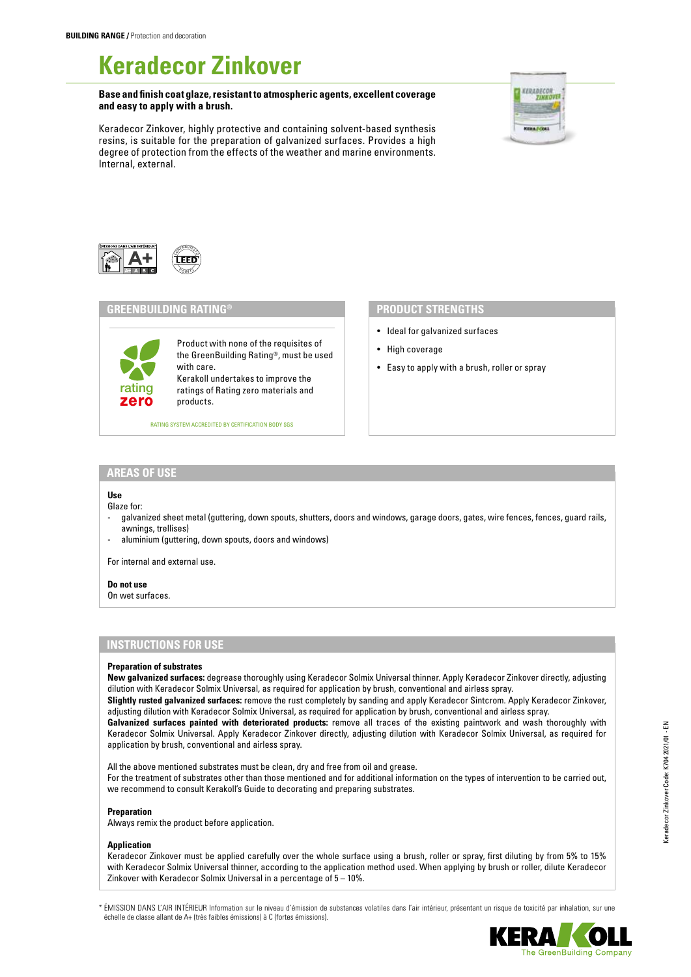# **Keradecor Zinkover**

**Base and finish coat glaze, resistant to atmospheric agents, excellent coverage and easy to apply with a brush.**

Keradecor Zinkover, highly protective and containing solvent-based synthesis resins, is suitable for the preparation of galvanized surfaces. Provides a high degree of protection from the effects of the weather and marine environments. Internal, external.





# **GREENBUILDING RATING®**

Product with none of the requisites of the GreenBuilding Rating®, must be used with care. Kerakoll undertakes to improve the ratings of Rating zero materials and products.

RATING SYSTEM ACCREDITED BY CERTIFICATION BODY SGS

## **PRODUCT STRENGTHS**

- Ideal for galvanized surfaces
- High coverage
- Easy to apply with a brush, roller or spray

### **AREAS OF USE**

zero rating

**Use**

- Glaze for:
- galvanized sheet metal (guttering, down spouts, shutters, doors and windows, garage doors, gates, wire fences, fences, guard rails, awnings, trellises)
- aluminium (guttering, down spouts, doors and windows)

For internal and external use.

#### **Do not use**

On wet surfaces.

# **INSTRUCTIONS FOR USE**

#### **Preparation of substrates**

**New galvanized surfaces:** degrease thoroughly using Keradecor Solmix Universal thinner. Apply Keradecor Zinkover directly, adjusting dilution with Keradecor Solmix Universal, as required for application by brush, conventional and airless spray.

**Slightly rusted galvanized surfaces:** remove the rust completely by sanding and apply Keradecor Sintcrom. Apply Keradecor Zinkover, adjusting dilution with Keradecor Solmix Universal, as required for application by brush, conventional and airless spray.

Galvanized surfaces painted with deteriorated products: remove all traces of the existing paintwork and wash thoroughly with Keradecor Solmix Universal. Apply Keradecor Zinkover directly, adjusting dilution with Keradecor Solmix Universal, as required for application by brush, conventional and airless spray.

All the above mentioned substrates must be clean, dry and free from oil and grease. For the treatment of substrates other than those mentioned and for additional information on the types of intervention to be carried out, we recommend to consult Kerakoll's Guide to decorating and preparing substrates.

#### **Preparation**

Always remix the product before application.

#### **Application**

Keradecor Zinkover must be applied carefully over the whole surface using a brush, roller or spray, first diluting by from 5% to 15% with Keradecor Solmix Universal thinner, according to the application method used. When applying by brush or roller, dilute Keradecor Zinkover with Keradecor Solmix Universal in a percentage of 5 – 10%.

\* ÉMISSION DANS L'AIR INTÉRIEUR Information sur le niveau d'émission de substances volatiles dans l'air intérieur, présentant un risque de toxicité par inhalation, sur une échelle de classe allant de A+ (très faibles émissions) à C (fortes émissions).